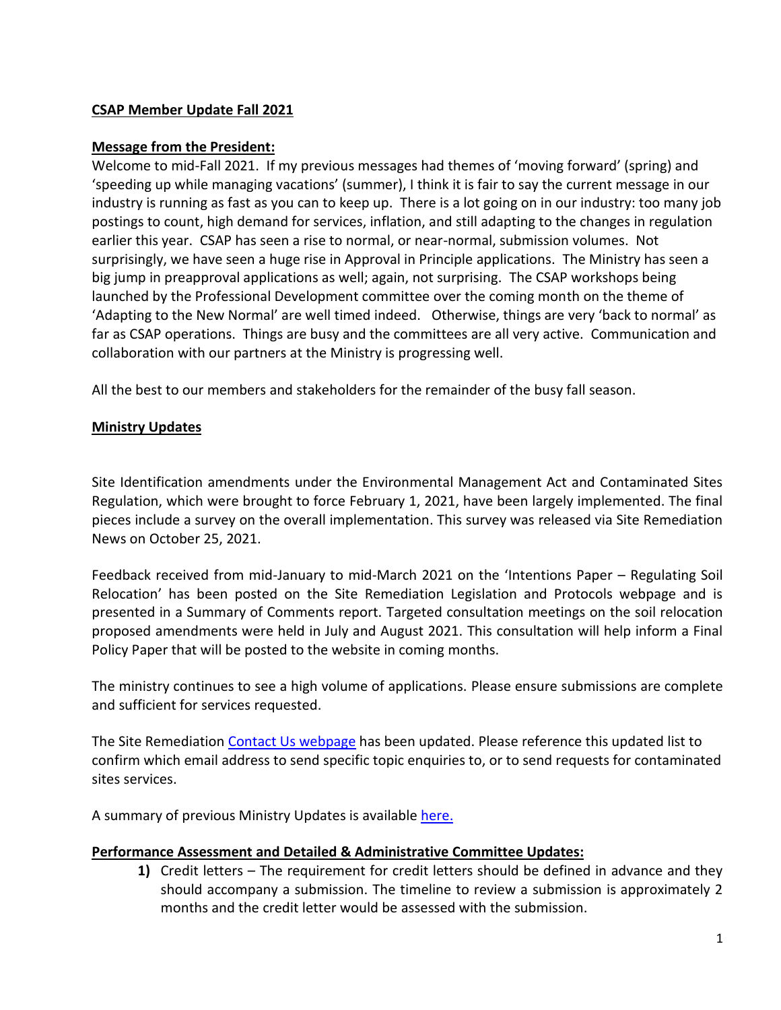#### **CSAP Member Update Fall 2021**

#### **Message from the President:**

Welcome to mid-Fall 2021. If my previous messages had themes of 'moving forward' (spring) and 'speeding up while managing vacations' (summer), I think it is fair to say the current message in our industry is running as fast as you can to keep up. There is a lot going on in our industry: too many job postings to count, high demand for services, inflation, and still adapting to the changes in regulation earlier this year. CSAP has seen a rise to normal, or near-normal, submission volumes. Not surprisingly, we have seen a huge rise in Approval in Principle applications. The Ministry has seen a big jump in preapproval applications as well; again, not surprising. The CSAP workshops being launched by the Professional Development committee over the coming month on the theme of 'Adapting to the New Normal' are well timed indeed. Otherwise, things are very 'back to normal' as far as CSAP operations. Things are busy and the committees are all very active. Communication and collaboration with our partners at the Ministry is progressing well.

All the best to our members and stakeholders for the remainder of the busy fall season.

#### **Ministry Updates**

Site Identification amendments under the Environmental Management Act and Contaminated Sites Regulation, which were brought to force February 1, 2021, have been largely implemented. The final pieces include a survey on the overall implementation. This survey was released via Site Remediation News on October 25, 2021.

Feedback received from mid-January to mid-March 2021 on the 'Intentions Paper – Regulating Soil Relocation' has been posted on the Site Remediation Legislation and Protocols webpage and is presented in a Summary of Comments report. Targeted consultation meetings on the soil relocation proposed amendments were held in July and August 2021. This consultation will help inform a Final Policy Paper that will be posted to the website in coming months.

The ministry continues to see a high volume of applications. Please ensure submissions are complete and sufficient for services requested.

The Site Remediation [Contact Us webpage](https://can01.safelinks.protection.outlook.com/?url=https%3A%2F%2Fwww2.gov.bc.ca%2Fgov%2Fcontent%3Fid%3DA4D08BEE59244B8BA9DBBA13DF620BDC&data=04%7C01%7Cnpomareda%40csapsociety.bc.ca%7Ce4239fe1024b446526b708d99a56db79%7Cab97e2b2085f45ba971aec284160d874%7C0%7C0%7C637710520102622129%7CUnknown%7CTWFpbGZsb3d8eyJWIjoiMC4wLjAwMDAiLCJQIjoiV2luMzIiLCJBTiI6Ik1haWwiLCJXVCI6Mn0%3D%7C1000&sdata=fZUjkgJhArnSZksdp3rTP1fw5td7tG0reZKp9rGxaYU%3D&reserved=0) has been updated. Please reference this updated list to confirm which email address to send specific topic enquiries to, or to send requests for contaminated sites services.

A summary of previous Ministry Updates is available [here.](https://csapsociety.bc.ca/wp-content/uploads/0-Ministry-Updates-from-Summer-2012.pdf)

#### **Performance Assessment and Detailed & Administrative Committee Updates:**

**1)** Credit letters – The requirement for credit letters should be defined in advance and they should accompany a submission. The timeline to review a submission is approximately 2 months and the credit letter would be assessed with the submission.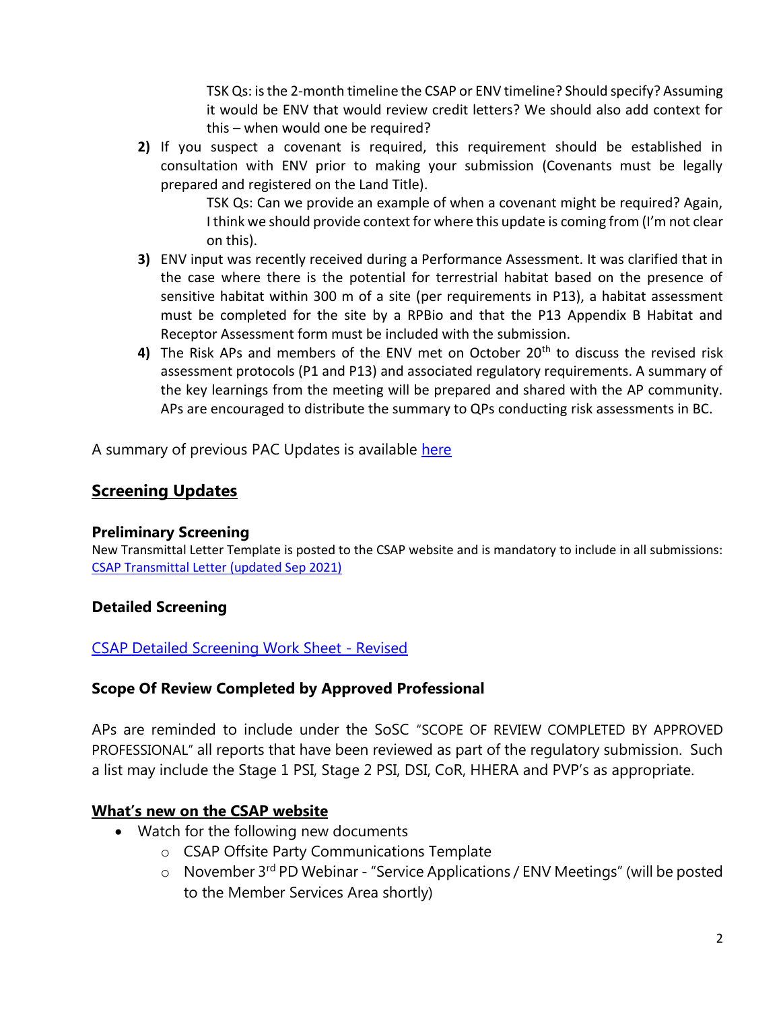TSK Qs: is the 2-month timeline the CSAP or ENV timeline? Should specify? Assuming it would be ENV that would review credit letters? We should also add context for this – when would one be required?

**2)** If you suspect a covenant is required, this requirement should be established in consultation with ENV prior to making your submission (Covenants must be legally prepared and registered on the Land Title).

> TSK Qs: Can we provide an example of when a covenant might be required? Again, I think we should provide context for where this update is coming from (I'm not clear on this).

- **3)** ENV input was recently received during a Performance Assessment. It was clarified that in the case where there is the potential for terrestrial habitat based on the presence of sensitive habitat within 300 m of a site (per requirements in P13), a habitat assessment must be completed for the site by a RPBio and that the P13 Appendix B Habitat and Receptor Assessment form must be included with the submission.
- **4)** The Risk APs and members of the ENV met on October 20<sup>th</sup> to discuss the revised risk assessment protocols (P1 and P13) and associated regulatory requirements. A summary of the key learnings from the meeting will be prepared and shared with the AP community. APs are encouraged to distribute the summary to QPs conducting risk assessments in BC.

A summary of previous PAC Updates is available here

# **Screening Updates**

## **Preliminary Screening**

New Transmittal Letter Template is posted to the CSAP website and is mandatory to include in all submissions: [CSAP Transmittal Letter \(updated Sep 2021\)](https://can01.safelinks.protection.outlook.com/?url=https%3A%2F%2Fcsapsociety.bc.ca%2Fwp-content%2Fuploads%2FTransmittal-Template-V16.docx&data=04%7C01%7Ccschachtel%40csapsociety.bc.ca%7C53613c32b30a40906b3208d99336f9a6%7Cab97e2b2085f45ba971aec284160d874%7C0%7C0%7C637702686584105074%7CUnknown%7CTWFpbGZsb3d8eyJWIjoiMC4wLjAwMDAiLCJQIjoiV2luMzIiLCJBTiI6Ik1haWwiLCJXVCI6Mn0%3D%7C1000&sdata=WZ55j5Zqf0%2F%2Bf1TOWmglDs4BiOR4Mruq3UCaZOJ8sF8%3D&reserved=0)

## **Detailed Screening**

## [CSAP Detailed Screening Work Sheet -](https://csapsociety.bc.ca/csap-detailed-screening-work-sheet-revised/) Revised

## **Scope Of Review Completed by Approved Professional**

APs are reminded to include under the SoSC "SCOPE OF REVIEW COMPLETED BY APPROVED PROFESSIONAL" all reports that have been reviewed as part of the regulatory submission. Such a list may include the Stage 1 PSI, Stage 2 PSI, DSI, CoR, HHERA and PVP's as appropriate.

## **What's new on the CSAP website**

- Watch for the following new documents
	- o CSAP Offsite Party Communications Template
	- $\circ$  November 3<sup>rd</sup> PD Webinar "Service Applications / ENV Meetings" (will be posted to the Member Services Area shortly)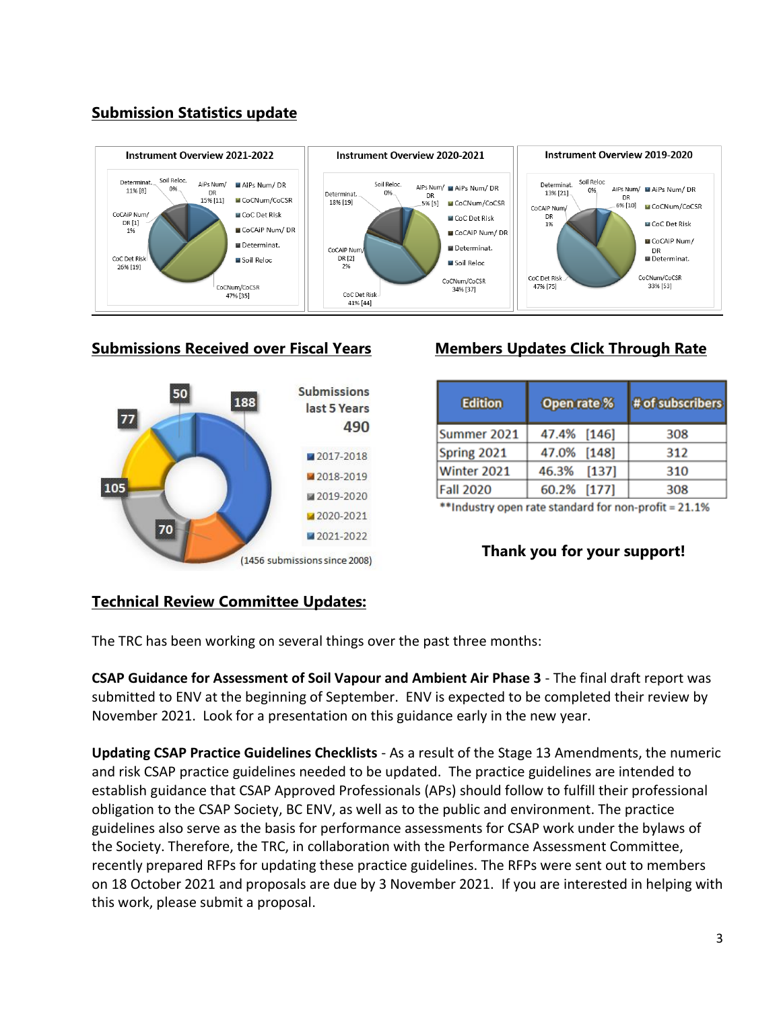# **Submission Statistics update**



#### **Submissions Received over Fiscal Years Members Updates Click Through Rate**



| <b>Edition</b>   | Open rate % | # of subscribers |
|------------------|-------------|------------------|
| Summer 2021      | 47.4% [146] | 308              |
| Spring 2021      | 47.0% [148] | 312              |
| Winter 2021      | 46.3% [137] | 310              |
| <b>Fall 2020</b> | 60.2% [177] | 308              |

\*\*Industry open rate standard for non-profit = 21.1%

## **Thank you for your support!**

## **Technical Review Committee Updates:**

The TRC has been working on several things over the past three months:

**CSAP Guidance for Assessment of Soil Vapour and Ambient Air Phase 3** - The final draft report was submitted to ENV at the beginning of September. ENV is expected to be completed their review by November 2021. Look for a presentation on this guidance early in the new year.

**Updating CSAP Practice Guidelines Checklists** - As a result of the Stage 13 Amendments, the numeric and risk CSAP practice guidelines needed to be updated. The practice guidelines are intended to establish guidance that CSAP Approved Professionals (APs) should follow to fulfill their professional obligation to the CSAP Society, BC ENV, as well as to the public and environment. The practice guidelines also serve as the basis for performance assessments for CSAP work under the bylaws of the Society. Therefore, the TRC, in collaboration with the Performance Assessment Committee, recently prepared RFPs for updating these practice guidelines. The RFPs were sent out to members on 18 October 2021 and proposals are due by 3 November 2021. If you are interested in helping with this work, please submit a proposal.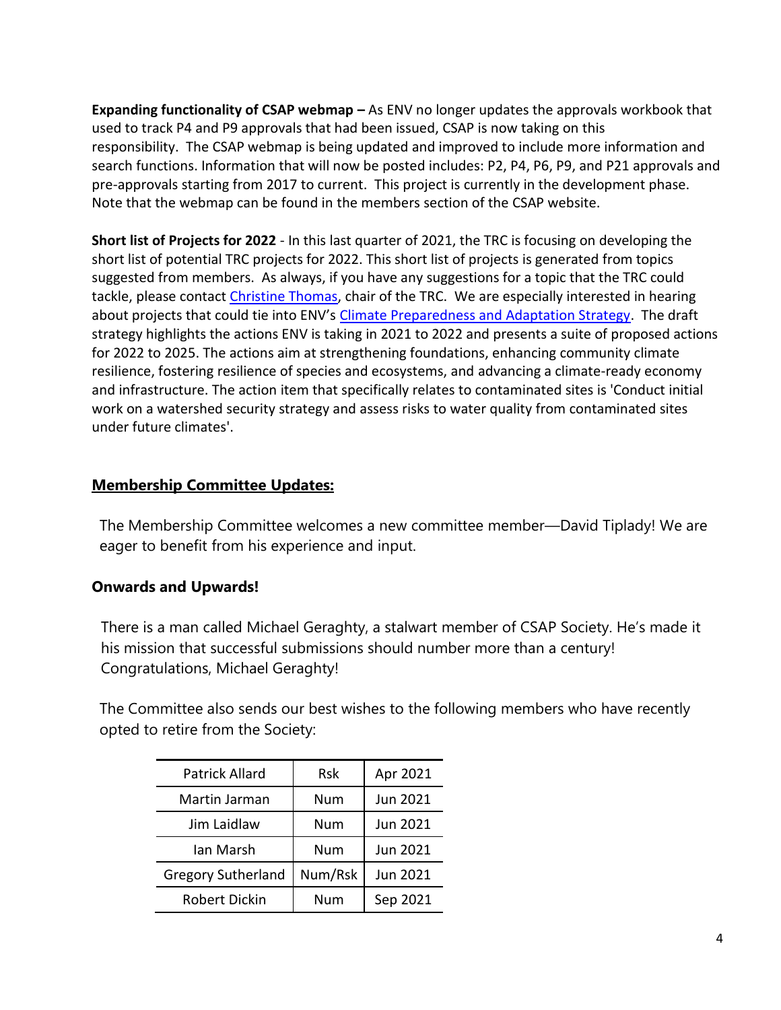**Expanding functionality of CSAP webmap –** As ENV no longer updates the approvals workbook that used to track P4 and P9 approvals that had been issued, CSAP is now taking on this responsibility. The CSAP webmap is being updated and improved to include more information and search functions. Information that will now be posted includes: P2, P4, P6, P9, and P21 approvals and pre-approvals starting from 2017 to current. This project is currently in the development phase. Note that the webmap can be found in the members section of the CSAP website.

**Short list of Projects for 2022** - In this last quarter of 2021, the TRC is focusing on developing the short list of potential TRC projects for 2022. This short list of projects is generated from topics suggested from members. As always, if you have any suggestions for a topic that the TRC could tackle, please contact [Christine Thomas,](mailto:christine_thomas@golder.com) chair of the TRC. We are especially interested in hearing about projects that could tie into ENV's [Climate Preparedness and Adaptation Strategy.](https://can01.safelinks.protection.outlook.com/?url=https%3A%2F%2Fengage.gov.bc.ca%2Fclimatereadybc%2F&data=04%7C01%7Ccschachtel%40csapsociety.bc.ca%7Ce354fddaeb2342d65abe08d995ab8dd5%7Cab97e2b2085f45ba971aec284160d874%7C0%7C0%7C637705386317522231%7CUnknown%7CTWFpbGZsb3d8eyJWIjoiMC4wLjAwMDAiLCJQIjoiV2luMzIiLCJBTiI6Ik1haWwiLCJXVCI6Mn0%3D%7C1000&sdata=lN9mO6MXuWdJny49pq5fJMVwyGbYOQKDtavaMBZajiA%3D&reserved=0) The draft strategy highlights the actions ENV is taking in 2021 to 2022 and presents a suite of proposed actions for 2022 to 2025. The actions aim at strengthening foundations, enhancing community climate resilience, fostering resilience of species and ecosystems, and advancing a climate-ready economy and infrastructure. The action item that specifically relates to contaminated sites is 'Conduct initial work on a watershed security strategy and assess risks to water quality from contaminated sites under future climates'.

## **Membership Committee Updates:**

The Membership Committee welcomes a new committee member—David Tiplady! We are eager to benefit from his experience and input.

## **Onwards and Upwards!**

There is a man called Michael Geraghty, a stalwart member of CSAP Society. He's made it his mission that successful submissions should number more than a century! Congratulations, Michael Geraghty!

The Committee also sends our best wishes to the following members who have recently opted to retire from the Society:

| <b>Patrick Allard</b>     | <b>Rsk</b> | Apr 2021 |
|---------------------------|------------|----------|
| Martin Jarman             | Num        | Jun 2021 |
| Jim Laidlaw               | Num        | Jun 2021 |
| Ian Marsh                 | Num        | Jun 2021 |
| <b>Gregory Sutherland</b> | Num/Rsk    | Jun 2021 |
| <b>Robert Dickin</b>      | Num        | Sep 2021 |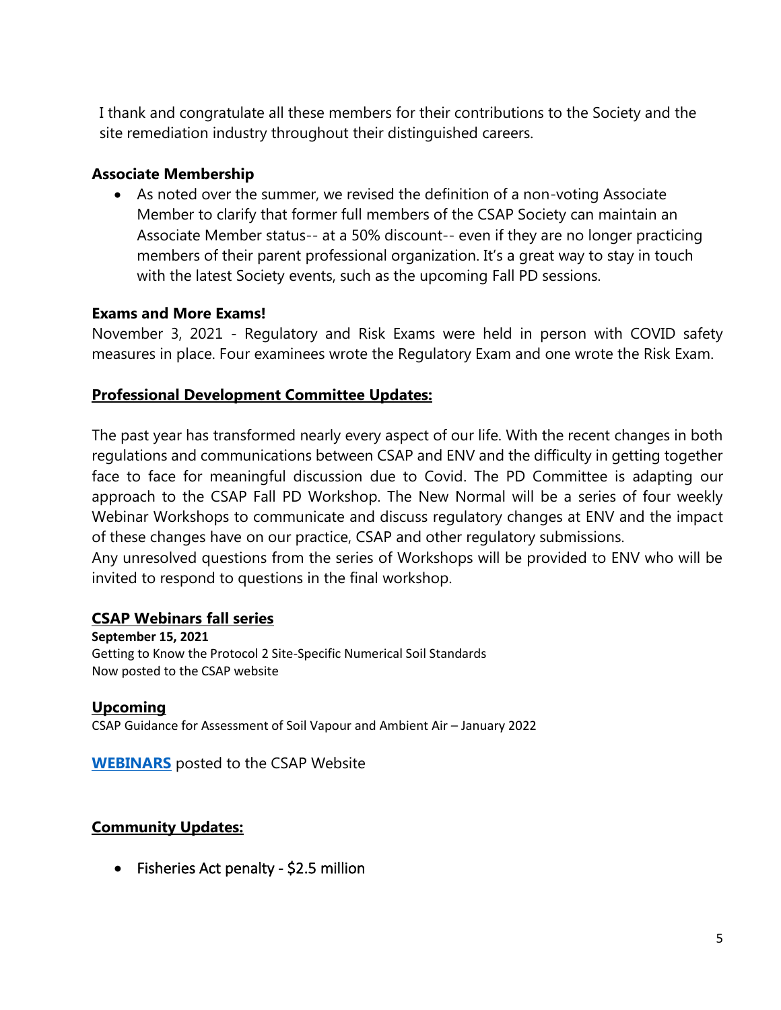I thank and congratulate all these members for their contributions to the Society and the site remediation industry throughout their distinguished careers.

## **Associate Membership**

• As noted over the summer, we revised the definition of a non-voting Associate Member to clarify that former full members of the CSAP Society can maintain an Associate Member status-- at a 50% discount-- even if they are no longer practicing members of their parent professional organization. It's a great way to stay in touch with the latest Society events, such as the upcoming Fall PD sessions.

# **Exams and More Exams!**

November 3, 2021 - Regulatory and Risk Exams were held in person with COVID safety measures in place. Four examinees wrote the Regulatory Exam and one wrote the Risk Exam.

# **Professional Development Committee Updates:**

The past year has transformed nearly every aspect of our life. With the recent changes in both regulations and communications between CSAP and ENV and the difficulty in getting together face to face for meaningful discussion due to Covid. The PD Committee is adapting our approach to the CSAP Fall PD Workshop. The New Normal will be a series of four weekly Webinar Workshops to communicate and discuss regulatory changes at ENV and the impact of these changes have on our practice, CSAP and other regulatory submissions.

Any unresolved questions from the series of Workshops will be provided to ENV who will be invited to respond to questions in the final workshop.

## **CSAP Webinars fall series**

**September 15, 2021** Getting to Know the Protocol 2 Site-Specific Numerical Soil Standards Now posted to the CSAP website

#### **Upcoming**  CSAP Guidance for Assessment of Soil Vapour and Ambient Air – January 2022

**[WEBINARS](https://csapsociety.bc.ca/members/pd-webinars/)** posted to the CSAP Website

# **Community Updates:**

• Fisheries Act penalty - \$2.5 million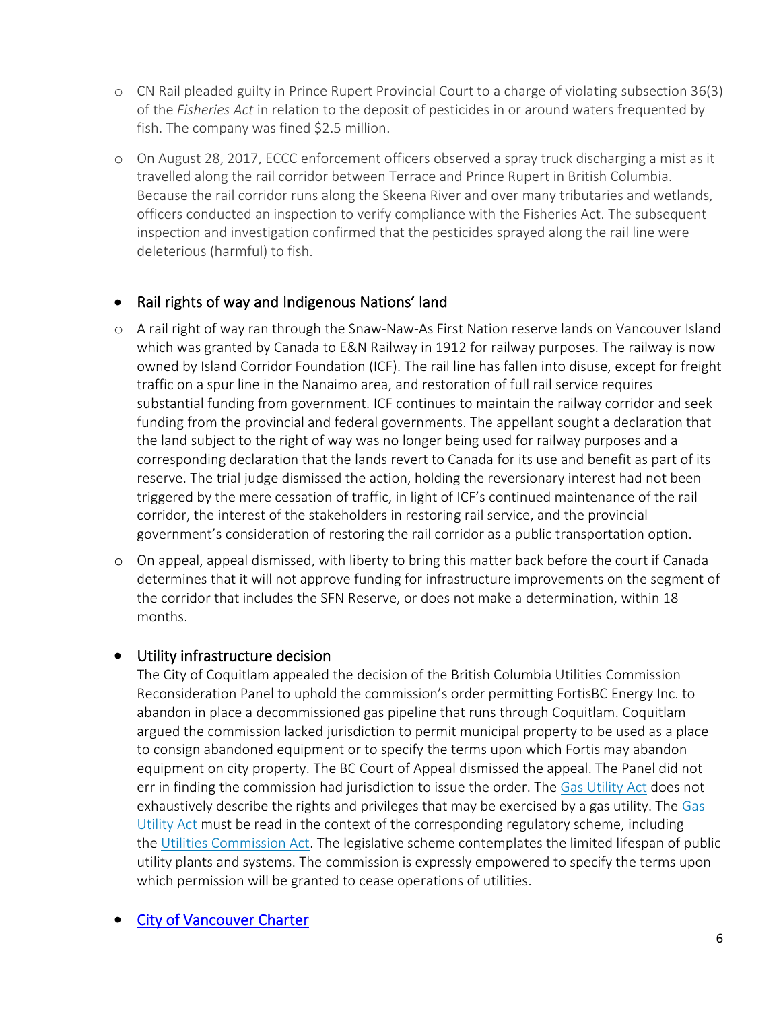- o CN Rail pleaded guilty in Prince Rupert Provincial Court to a charge of violating subsection 36(3) of the *Fisheries Act* in relation to the deposit of pesticides in or around waters frequented by fish. The company was fined \$2.5 million.
- o On August 28, 2017, ECCC enforcement officers observed a spray truck discharging a mist as it travelled along the rail corridor between Terrace and Prince Rupert in British Columbia. Because the rail corridor runs along the Skeena River and over many tributaries and wetlands, officers conducted an inspection to verify compliance with the Fisheries Act. The subsequent inspection and investigation confirmed that the pesticides sprayed along the rail line were deleterious (harmful) to fish.

# • Rail rights of way and Indigenous Nations' land

- o A rail right of way ran through the Snaw-Naw-As First Nation reserve lands on Vancouver Island which was granted by Canada to E&N Railway in 1912 for railway purposes. The railway is now owned by Island Corridor Foundation (ICF). The rail line has fallen into disuse, except for freight traffic on a spur line in the Nanaimo area, and restoration of full rail service requires substantial funding from government. ICF continues to maintain the railway corridor and seek funding from the provincial and federal governments. The appellant sought a declaration that the land subject to the right of way was no longer being used for railway purposes and a corresponding declaration that the lands revert to Canada for its use and benefit as part of its reserve. The trial judge dismissed the action, holding the reversionary interest had not been triggered by the mere cessation of traffic, in light of ICF's continued maintenance of the rail corridor, the interest of the stakeholders in restoring rail service, and the provincial government's consideration of restoring the rail corridor as a public transportation option.
- o On appeal, appeal dismissed, with liberty to bring this matter back before the court if Canada determines that it will not approve funding for infrastructure improvements on the segment of the corridor that includes the SFN Reserve, or does not make a determination, within 18 months.

## • Utility infrastructure decision

The City of Coquitlam appealed the decision of the British Columbia Utilities Commission Reconsideration Panel to uphold the commission's order permitting FortisBC Energy Inc. to abandon in place a decommissioned gas pipeline that runs through Coquitlam. Coquitlam argued the commission lacked jurisdiction to permit municipal property to be used as a place to consign abandoned equipment or to specify the terms upon which Fortis may abandon equipment on city property. The BC Court of Appeal dismissed the appeal. The Panel did not err in finding the commission had jurisdiction to issue the order. The [Gas Utility Act](https://can01.safelinks.protection.outlook.com/?url=https%3A%2F%2Fwww.canlii.org%2Fen%2Fbc%2Flaws%2Fstat%2Frsbc-1996-c-170%2Flatest%2Frsbc-1996-c-170.html&data=04%7C01%7Cnpomareda%40csapsociety.bc.ca%7C3762cd64210a4653e29308d98369ab71%7Cab97e2b2085f45ba971aec284160d874%7C0%7C0%7C637685312141877960%7CUnknown%7CTWFpbGZsb3d8eyJWIjoiMC4wLjAwMDAiLCJQIjoiV2luMzIiLCJBTiI6Ik1haWwiLCJXVCI6Mn0%3D%7C1000&sdata=wdQ3Fngmkjvb6hLpW2pO04ZIdGc1sZeQ78vlPWN5Wog%3D&reserved=0) does not exhaustively describe the rights and privileges that may be exercised by a gas utility. The Gas [Utility Act](https://can01.safelinks.protection.outlook.com/?url=https%3A%2F%2Fwww.canlii.org%2Fen%2Fbc%2Flaws%2Fstat%2Frsbc-1996-c-170%2Flatest%2Frsbc-1996-c-170.html&data=04%7C01%7Cnpomareda%40csapsociety.bc.ca%7C3762cd64210a4653e29308d98369ab71%7Cab97e2b2085f45ba971aec284160d874%7C0%7C0%7C637685312141877960%7CUnknown%7CTWFpbGZsb3d8eyJWIjoiMC4wLjAwMDAiLCJQIjoiV2luMzIiLCJBTiI6Ik1haWwiLCJXVCI6Mn0%3D%7C1000&sdata=wdQ3Fngmkjvb6hLpW2pO04ZIdGc1sZeQ78vlPWN5Wog%3D&reserved=0) must be read in the context of the corresponding regulatory scheme, including the [Utilities Commission Act.](https://can01.safelinks.protection.outlook.com/?url=https%3A%2F%2Fwww.canlii.org%2Fen%2Fbc%2Flaws%2Fstat%2Frsbc-1996-c-473%2Flatest%2Frsbc-1996-c-473.html&data=04%7C01%7Cnpomareda%40csapsociety.bc.ca%7C3762cd64210a4653e29308d98369ab71%7Cab97e2b2085f45ba971aec284160d874%7C0%7C0%7C637685312141887913%7CUnknown%7CTWFpbGZsb3d8eyJWIjoiMC4wLjAwMDAiLCJQIjoiV2luMzIiLCJBTiI6Ik1haWwiLCJXVCI6Mn0%3D%7C1000&sdata=B%2BAPfOI%2BFYLkFkXgO74UjpPkBvEM6%2BgDBpD8CMLN2W8%3D&reserved=0) The legislative scheme contemplates the limited lifespan of public utility plants and systems. The commission is expressly empowered to specify the terms upon which permission will be granted to cease operations of utilities.

# **City of Vancouver Charter**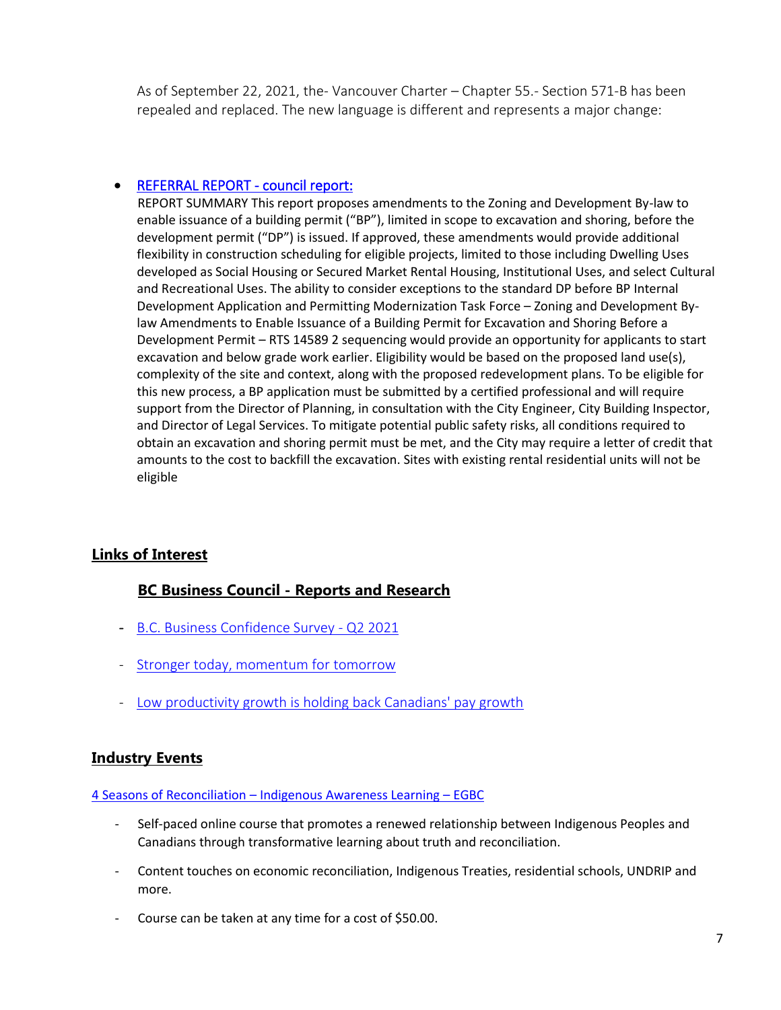As of September 22, 2021, the- Vancouver Charter – Chapter 55.- Section 571-B has been repealed and replaced. The new language is different and represents a major change:

#### • [REFERRAL REPORT - council report:](https://council.vancouver.ca/20210720/documents/rr1.pdf)

 REPORT SUMMARY This report proposes amendments to the Zoning and Development By-law to enable issuance of a building permit ("BP"), limited in scope to excavation and shoring, before the development permit ("DP") is issued. If approved, these amendments would provide additional flexibility in construction scheduling for eligible projects, limited to those including Dwelling Uses developed as Social Housing or Secured Market Rental Housing, Institutional Uses, and select Cultural and Recreational Uses. The ability to consider exceptions to the standard DP before BP Internal Development Application and Permitting Modernization Task Force – Zoning and Development Bylaw Amendments to Enable Issuance of a Building Permit for Excavation and Shoring Before a Development Permit – RTS 14589 2 sequencing would provide an opportunity for applicants to start excavation and below grade work earlier. Eligibility would be based on the proposed land use(s), complexity of the site and context, along with the proposed redevelopment plans. To be eligible for this new process, a BP application must be submitted by a certified professional and will require support from the Director of Planning, in consultation with the City Engineer, City Building Inspector, and Director of Legal Services. To mitigate potential public safety risks, all conditions required to obtain an excavation and shoring permit must be met, and the City may require a letter of credit that amounts to the cost to backfill the excavation. Sites with existing rental residential units will not be eligible

# **Links of Interest**

## **BC Business Council - Reports and Research**

- [B.C. Business Confidence Survey -](https://bcbc.com/reports-and-research/b-c-business-confidence-survey-q2-2021) Q2 2021
- [Stronger today, momentum for tomorrow](https://bcbc.com/reports-and-research/stronger-today-momentum-for-tomorrow)
- [Low productivity growth is holding back Canadians' pay growth](https://bcbc.com/reports-and-research/low-productivity-growth-is-holding-back-canadians-pay-growth)

#### **Industry Events**

#### 4 Seasons of Reconciliation – [Indigenous Awareness Learning](https://www.egbc.ca/Online-Learning/Products/Online-Courses/4-Seasons-of-Reconciliation-Indigenous-Awareness-L) – EGBC

- Self-paced online course that promotes a renewed relationship between Indigenous Peoples and Canadians through transformative learning about truth and reconciliation.
- Content touches on economic reconciliation, Indigenous Treaties, residential schools, UNDRIP and more.
- Course can be taken at any time for a cost of \$50.00.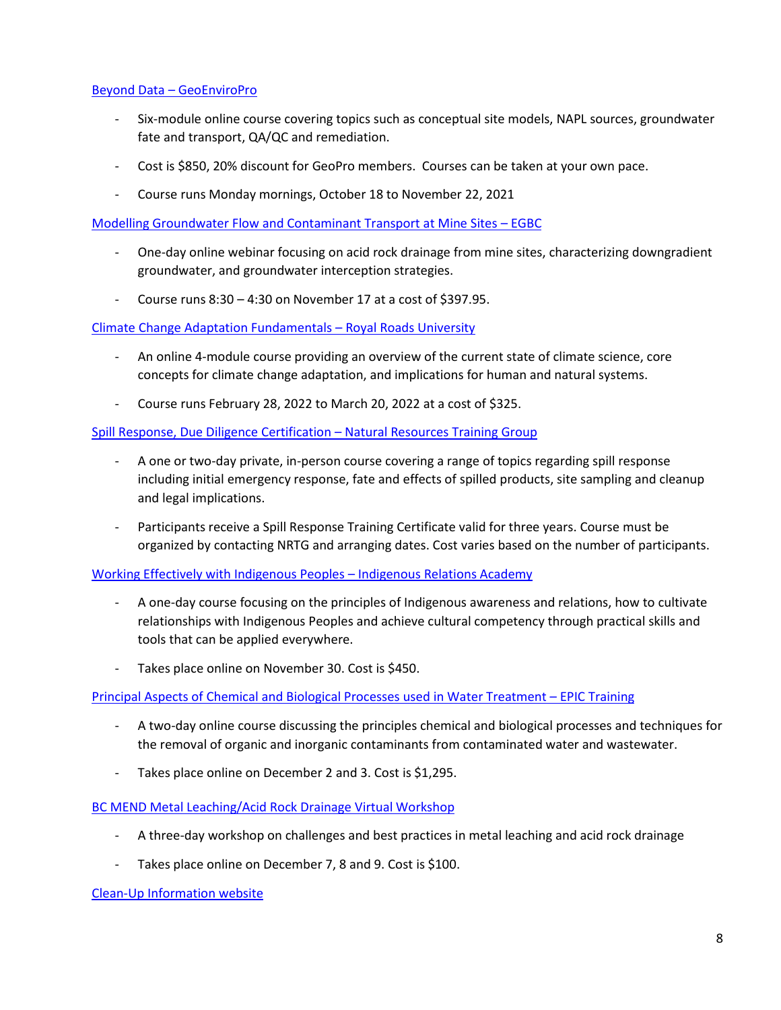#### Beyond Data – [GeoEnviroPro](https://geoenviropro.thinkific.com/bundles/beyond-data-conceptual-site-models-in-site-characterization-and-remediation-module-1-6-2021)

- Six-module online course covering topics such as conceptual site models, NAPL sources, groundwater fate and transport, QA/QC and remediation.
- Cost is \$850, 20% discount for GeoPro members. Courses can be taken at your own pace.
- Course runs Monday mornings, October 18 to November 22, 2021

[Modelling Groundwater Flow and Contaminant Transport at Mine Sites](https://www.egbc.ca/Events/Events/2021/21NOVMGF) – EGBC

- One-day online webinar focusing on acid rock drainage from mine sites, characterizing downgradient groundwater, and groundwater interception strategies.
- Course runs  $8:30 4:30$  on November 17 at a cost of \$397.95.

[Climate Change Adaptation Fundamentals](https://pcs.royalroads.ca/climate-change-adaptation-fundamentals-online) – Royal Roads University

- An online 4-module course providing an overview of the current state of climate science, core concepts for climate change adaptation, and implications for human and natural systems.
- Course runs February 28, 2022 to March 20, 2022 at a cost of \$325.

[Spill Response, Due Diligence Certification](https://www.nrtraininggroup.com/spill-response-due-diligence) – Natural Resources Training Group

- A one or two-day private, in-person course covering a range of topics regarding spill response including initial emergency response, fate and effects of spilled products, site sampling and cleanup and legal implications.
- Participants receive a Spill Response Training Certificate valid for three years. Course must be organized by contacting NRTG and arranging dates. Cost varies based on the number of participants.

[Working Effectively with Indigenous Peoples](https://www.indigenousrelationsacademy.com/collections/training/products/working-effectively-with-indigenous-peoples-guided-training-ptz) – Indigenous Relations Academy

- A one-day course focusing on the principles of Indigenous awareness and relations, how to cultivate relationships with Indigenous Peoples and achieve cultural competency through practical skills and tools that can be applied everywhere.
- Takes place online on November 30. Cost is \$450.

[Principal Aspects of Chemical and Biological Processes used in Water Treatment](https://www.epictraining.ca/online-courses/environmental-engineering/principal-aspects-of-chemical-and-biological-processes-used-in-water-treatment/17456/) – EPIC Training

- A two-day online course discussing the principles chemical and biological processes and techniques for the removal of organic and inorganic contaminants from contaminated water and wastewater.
- Takes place online on December 2 and 3. Cost is \$1,295.

[BC MEND Metal Leaching/Acid Rock Drainage Virtual Workshop](https://geoenviropro.thinkific.com/courses/metal-leaching-acid-rock-drainage-28th-annual-bc-mend-workshop)

- A three-day workshop on challenges and best practices in metal leaching and acid rock drainage
- Takes place online on December 7, 8 and 9. Cost is \$100.

[Clean-Up Information website](https://clu-in.org/default.cfm)